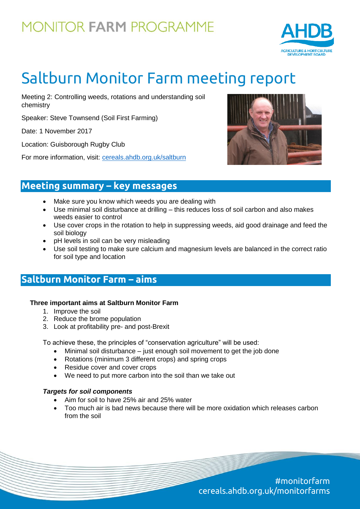

# Saltburn Monitor Farm meeting report

Meeting 2: Controlling weeds, rotations and understanding soil chemistry

Speaker: Steve Townsend (Soil First Farming)

Date: 1 November 2017

Location: Guisborough Rugby Club

For more information, visit: [cereals.ahdb.org.uk/saltburn](https://cereals.ahdb.org.uk/get-involved/monitorfarms/saltburn-monitor-farm.aspx)



### **Meeting summary – key messages**

- Make sure you know which weeds you are dealing with
- Use minimal soil disturbance at drilling this reduces loss of soil carbon and also makes weeds easier to control
- Use cover crops in the rotation to help in suppressing weeds, aid good drainage and feed the soil biology
- pH levels in soil can be very misleading
- Use soil testing to make sure calcium and magnesium levels are balanced in the correct ratio for soil type and location

### **Saltburn Monitor Farm – aims**

#### **Three important aims at Saltburn Monitor Farm**

- 1. Improve the soil
- 2. Reduce the brome population
- 3. Look at profitability pre- and post-Brexit

To achieve these, the principles of "conservation agriculture" will be used:

- Minimal soil disturbance just enough soil movement to get the job done
- Rotations (minimum 3 different crops) and spring crops
- Residue cover and cover crops
- We need to put more carbon into the soil than we take out

#### *Targets for soil components*

- Aim for soil to have 25% air and 25% water
- Too much air is bad news because there will be more oxidation which releases carbon from the soil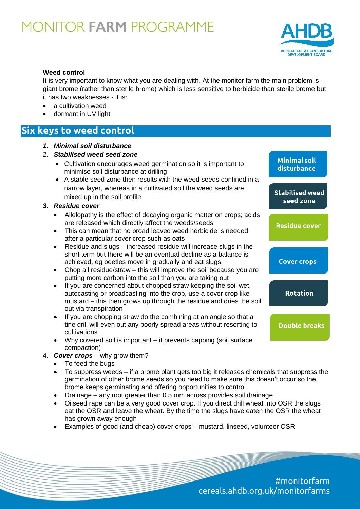

#### **Weed control**

It is very important to know what you are dealing with. At the monitor farm the main problem is giant brome (rather than sterile brome) which is less sensitive to herbicide than sterile brome but it has two weaknesses - it is:

- a cultivation weed
- dormant in UV light

## **Six keys to weed control**

- *1. Minimal soil disturbance*
- 2. *Stabilised weed seed zone*
	- Cultivation encourages weed germination so it is important to minimise soil disturbance at drilling
	- A stable seed zone then results with the weed seeds confined in a narrow layer, whereas in a cultivated soil the weed seeds are mixed up in the soil profile
- *3. Residue cover*
- Allelopathy is the effect of decaying organic matter on crops; acids are released which directly affect the weeds/seeds **Rotation** 
	- This can mean that no broad leaved weed herbicide is needed after a particular cover crop such as oats
	- Residue and slugs increased residue will increase slugs in the short term but there will be an eventual decline as a balance is achieved, eg beetles move in gradually and eat slugs
	- Chop all residue/straw this will improve the soil because you are putting more carbon into the soil than you are taking out
	- If you are concerned about chopped straw keeping the soil wet, autocasting or broadcasting into the crop, use a cover crop like mustard – this then grows up through the residue and dries the soil out via transpiration
	- $\bullet$  If you are chopping straw do the combining at an angle so that a tine drill will even out any poorly spread areas without resorting to cultivations
	- Why covered soil is important it prevents capping (soil surface compaction)
	- 4. *Cover crops* why grow them?
		- To feed the bugs
		- To suppress weeds if a brome plant gets too big it releases chemicals that suppress the germination of other brome seeds so you need to make sure this doesn't occur so the brome keeps germinating and offering opportunities to control
		- Drainage any root greater than 0.5 mm across provides soil drainage
		- Oilseed rape can be a very good cover crop. If you direct drill wheat into OSR the slugs eat the OSR and leave the wheat. By the time the slugs have eaten the OSR the wheat has grown away enough
		- Examples of good (and cheap) cover crops mustard, linseed, volunteer OSR

#monitorfarm cereals.ahdb.org.uk/monitorfarms

disturbance **Stabilised weed** seed zone

**Minimal soil** 

**Residue cover** 

**Cover crops** 

**Rotation** 

**Double breaks**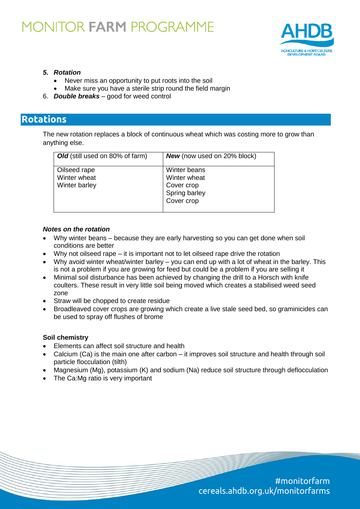

#### *5. Rotation*

- Never miss an opportunity to put roots into the soil
- Make sure you have a sterile strip round the field margin
- 6. *Double breaks* good for weed control

### **Rotations**

The new rotation replaces a block of continuous wheat which was costing more to grow than anything else.

| <b>Old</b> (still used on 80% of farm) | <b>New</b> (now used on 20% block) |
|----------------------------------------|------------------------------------|
| Oilseed rape                           | Winter beans                       |
| Winter wheat                           | Winter wheat                       |
| Winter barley                          | Cover crop                         |
|                                        | Spring barley                      |
|                                        | Cover crop                         |
|                                        |                                    |

#### *Notes on the rotation*

- Why winter beans because they are early harvesting so you can get done when soil conditions are better
- Why not oilseed rape it is important not to let oilseed rape drive the rotation
- Why avoid winter wheat/winter barley you can end up with a lot of wheat in the barley. This is not a problem if you are growing for feed but could be a problem if you are selling it
- Minimal soil disturbance has been achieved by changing the drill to a Horsch with knife coulters. These result in very little soil being moved which creates a stabilised weed seed zone
- Straw will be chopped to create residue
- Broadleaved cover crops are growing which create a live stale seed bed, so graminicides can be used to spray off flushes of brome

#### **Soil chemistry**

- Elements can affect soil structure and health
- Calcium (Ca) is the main one after carbon it improves soil structure and health through soil particle flocculation (tilth)
- Magnesium (Mg), potassium (K) and sodium (Na) reduce soil structure through deflocculation
- The Ca:Mg ratio is very important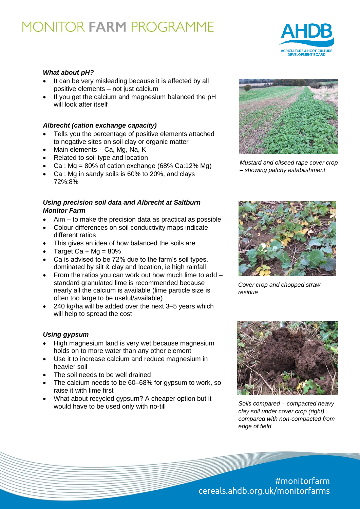

#### *What about pH?*

- It can be very misleading because it is affected by all positive elements – not just calcium
- If you get the calcium and magnesium balanced the pH will look after itself

#### *Albrecht (cation exchange capacity)*

- Tells you the percentage of positive elements attached to negative sites on soil clay or organic matter
- Main elements Ca, Mg, Na, K
- Related to soil type and location
- Ca :  $Mg = 80\%$  of cation exchange (68% Ca:12% Mg)
- Ca : Mg in sandy soils is 60% to 20%, and clays 72%:8%

#### *Using precision soil data and Albrecht at Saltburn Monitor Farm*

- Aim to make the precision data as practical as possible
- Colour differences on soil conductivity maps indicate different ratios
- This gives an idea of how balanced the soils are
- Target Ca + Mg =  $80\%$
- Ca is advised to be 72% due to the farm's soil types, dominated by silt & clay and location, ie high rainfall
- From the ratios you can work out how much lime to add standard granulated lime is recommended because nearly all the calcium is available (lime particle size is often too large to be useful/available)
- 240 kg/ha will be added over the next 3–5 years which will help to spread the cost

#### *Using gypsum*

- High magnesium land is very wet because magnesium holds on to more water than any other element
- Use it to increase calcium and reduce magnesium in heavier soil
- The soil needs to be well drained
- The calcium needs to be 60–68% for gypsum to work, so raise it with lime first
- What about recycled gypsum? A cheaper option but it would have to be used only with no-till



*Mustard and oilseed rape cover crop – showing patchy establishment*



*Cover crop and chopped straw residue*



*Soils compared – compacted heavy clay soil under cover crop (right) compared with non-compacted from edge of field*